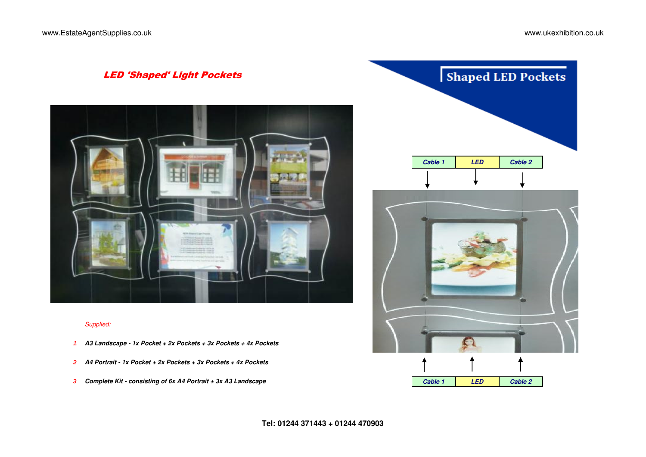G



### *Supplied:*

- *1* **A3 Landscape 1x Pocket + 2x Pockets + 3x Pockets + 4x Pockets**
- *2* **A4 Portrait 1x Pocket + 2x Pockets + 3x Pockets + 4x Pockets**
- *3* **Complete Kit consisting of 6x A4 Portrait + 3x A3 Landscape Cable 1 LED Cable 2**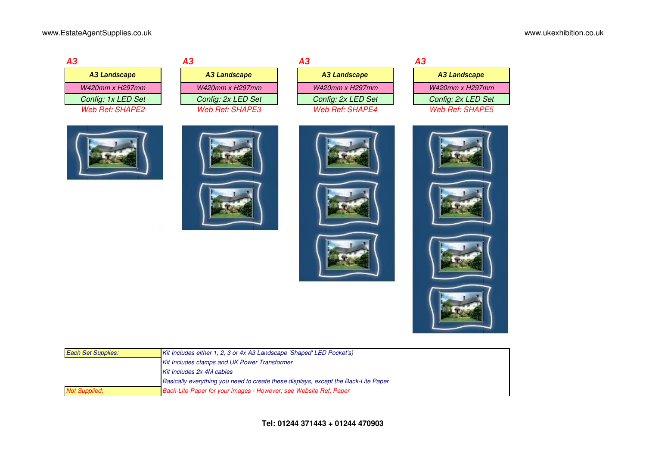| A3 |                             |
|----|-----------------------------|
|    | <b>A3 Landscape</b>         |
|    | W420mm x H297mm             |
|    | Config: 1x LED Set          |
|    | Web Ref <sup>.</sup> SHAPF2 |

|                    | А3                 | А3                     | А3                     |
|--------------------|--------------------|------------------------|------------------------|
| A3 Landscape       | A3 Landscape       | A3 Landscape           | A3 Landscape           |
| W420mm x H297mm    | W420mm x H297mm    | W420mm x H297mm        | W420mm x H297mm        |
| Config: 1x LED Set | Config: 2x LED Set | Config: 2x LED Set     | Config: 2x LED Set     |
| Web Ref: SHAPE2    | Web Ref: SHAPE3    | <b>Web Ref: SHAPE4</b> | <b>Web Ref: SHAPE5</b> |

| A3 Landscape       | A3 Landscape           | A3 Landscape       | A3 Landscape           |
|--------------------|------------------------|--------------------|------------------------|
| W420mm x H297mm    | W420mm x H297mm        | W420mm x H297mm    | W420mm x H297mm        |
| Config: 1x LED Set | Config: 2x LED Set     | Config: 2x LED Set | Config: 2x LED Set     |
| Web Ref: SHAPE2_   | <b>Web Ref: SHAPE3</b> | Web Ref: SHAPE4    | <b>Web Ref: SHAPE5</b> |
|                    |                        |                    |                        |

| <b>A3</b> |                     |
|-----------|---------------------|
|           | <b>A3 Landscape</b> |
|           | W420mm x H297mm     |
|           | Config: 2x LED Set  |
|           | Web Ref: SHAPE5     |



















| <b>Each Set Supplies:</b> | Kit Includes either 1, 2, 3 or 4x A3 Landscape 'Shaped' LED Pocket's)              |
|---------------------------|------------------------------------------------------------------------------------|
|                           | <b>Kit Includes clamps and UK Power Transformer</b>                                |
|                           | Kit Includes 2x 4M cables                                                          |
|                           | Basically everything you need to create these displays, except the Back-Lite Paper |
| <b>Not Supplied:</b>      | Back-Lite-Paper for your images - However; see Website Ref: Paper                  |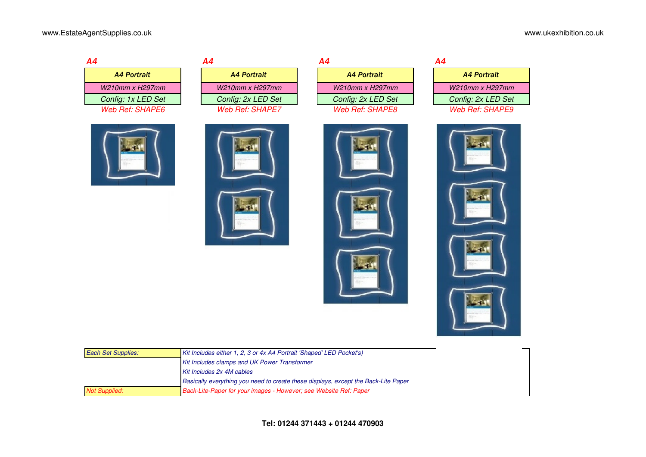| Α4                     | Α4                     | Α4                     | Α4 |
|------------------------|------------------------|------------------------|----|
| <b>A4 Portrait</b>     | <b>A4 Portrait</b>     | <b>A4 Portrait</b>     |    |
| $W210mm \times H297mm$ | $W210mm \times H297mm$ | $W210mm \times H297mm$ |    |
| Config: 1x LED Set     | Config: 2x LED Set     | Config: 2x LED Set     |    |
| Web Ref: SHAPE6        | Web Ref: SHAPE7        | Web Ref: SHAPE8        |    |

| Config: 1x LED Set | Config: 2x LED Set     | Config: 2x LED Set | Config: 2x LED Set     |
|--------------------|------------------------|--------------------|------------------------|
| Web Ref: SHAPE6    | <b>Web Ref: SHAPE7</b> | Web Ref: SHAPE8    | <b>Web Ref: SHAPE9</b> |
|                    |                        |                    |                        |
|                    |                        |                    |                        |
|                    |                        |                    |                        |
|                    |                        |                    |                        |
|                    |                        |                    |                        |

| <b>A4 Portrait</b> | <b>A4 Portrait</b>     | <b>A4 Portrait</b> | <b>A4 Portrait</b>     |
|--------------------|------------------------|--------------------|------------------------|
| W210mm x H297mm i  | $W210mm \times H297mm$ | W210mm x H297mm    | W210mm x H297mm        |
| Config: 1x LED Set | Config: 2x LED Set     | Config: 2x LED Set | Config: 2x LED Set     |
| Web Ref: SHAPE6    | Web Ref: SHAPE7        | Web Ref: SHAPE8    | <b>Web Ref: SHAPE9</b> |

| 4 |                        |
|---|------------------------|
|   | <b>A4 Portrait</b>     |
|   | W210mm x H297mm        |
|   | Config: 2x LED Set     |
|   | <i>Web Ref: SHAPE8</i> |

| 14 |                    |
|----|--------------------|
|    | <b>A4 Portrait</b> |
|    | W210mm x H297mm    |
|    | Config: 2x LED Set |
|    | Web Ref: SHAPE9    |









| <b>Each Set Supplies:</b> | Kit Includes either 1, 2, 3 or 4x A4 Portrait 'Shaped' LED Pocket's)               |
|---------------------------|------------------------------------------------------------------------------------|
|                           | Kit Includes clamps and UK Power Transformer                                       |
|                           | Kit Includes 2x 4M cables                                                          |
|                           | Basically everything you need to create these displays, except the Back-Lite Paper |
| <b>Not Supplied:</b>      | Back-Lite-Paper for your images - However; see Website Ref: Paper                  |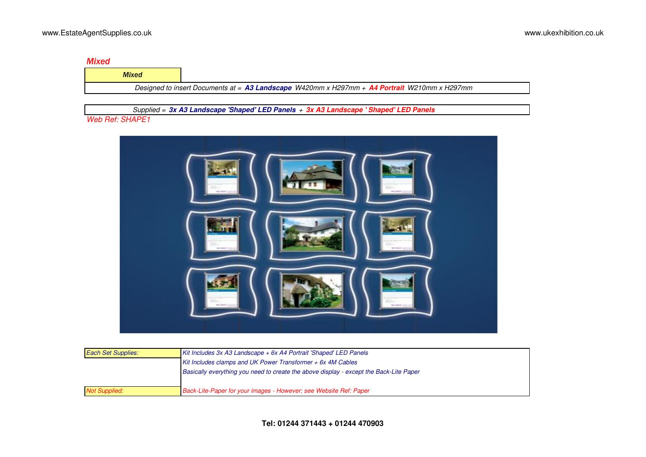### *Mixed*

| <b>Mixed</b>                                                                                 |  |  |  |
|----------------------------------------------------------------------------------------------|--|--|--|
| Designed to insert Documents at = A3 Landscape W420mm x H297mm + A4 Portrait W210mm x H297mm |  |  |  |

 *Supplied =* **3x A3 Landscape 'Shaped' LED Panels** *+* **3x A3 Landscape ' Shaped' LED Panels**

## *Web Ref: SHAPE1*



| <b>Each Set Supplies:</b> | Kit Includes 3x A3 Landscape $+$ 6x A4 Portrait 'Shaped' LED Panels                    |
|---------------------------|----------------------------------------------------------------------------------------|
|                           | Kit Includes clamps and UK Power Transformer $+$ 6x 4M Cables                          |
|                           | Basically everything you need to create the above display - except the Back-Lite Paper |
|                           |                                                                                        |
| <b>Not Supplied:</b>      | Back-Lite-Paper for your images - However; see Website Ref: Paper                      |